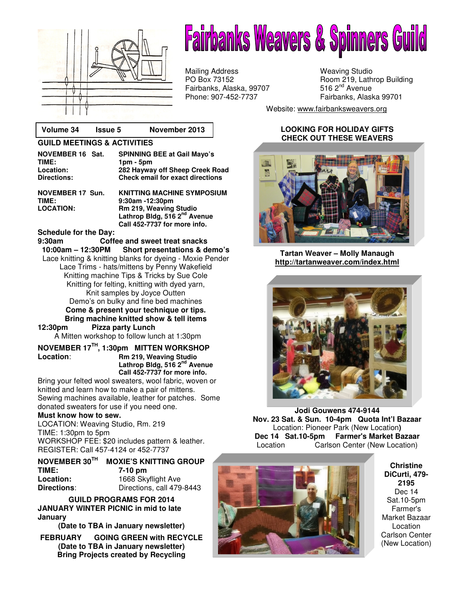

# **Something Into Something Else.**  Start y Krimmang ka

Mailing Address Weaving Studio Fairbanks, Alaska, 99707 Phone: 907-452-7737 Fairbanks, Alaska 99701

PO Box 73152 Room 219, Lathrop Building<br>Fairbanks, Alaska, 99707 516 2<sup>nd</sup> Avenue

Website: www.fairbanksweavers.org

### **LOOKING FOR HOLIDAY GIFTS CHECK OUT THESE WEAVERS**



**Tartan Weaver – Molly Manaugh http://tartanweaver.com/index.html**



**Jodi Gouwens 474-9144 Nov. 23 Sat. & Sun. 10-4pm Quota Int'l Bazaar**  Location: Pioneer Park (New Location**) Dec 14 Sat.10-5pm Farmer's Market Bazaar**  Location Carlson Center (New Location)



**Christine DiCurti, 479- 2195**  Dec 14 Sat.10-5pm Farmer's Market Bazaar Location Carlson Center (New Location)

## **Volume 34 Issue 5 November 2013**

#### **GUILD MEETINGS & ACTIVITIES**

| <b>SPINNING BEE at Gail Mayo's</b><br>$1pm - 5pm$<br>282 Hayway off Sheep Creek Road |
|--------------------------------------------------------------------------------------|
| <b>Check email for exact directions</b>                                              |
| <b>KNITTING MACHINE SYMPOSIUM</b><br>0.00---- 40.00----                              |
|                                                                                      |

**TIME: 9:30am -12:30pm Rm 219, Weaving Studio Lathrop Bldg, 516 2nd Avenue Call 452-7737 for more info.** 

#### **Schedule for the Day:**

**9:30am Coffee and sweet treat snacks Short presentations & demo's** Lace knitting & knitting blanks for dyeing - Moxie Pender Lace Trims - hats/mittens by Penny Wakefield Knitting machine Tips & Tricks by Sue Cole Knitting for felting, knitting with dyed yarn, Knit samples by Joyce Outten Demo's on bulky and fine bed machines **Come & present your technique or tips. Bring machine knitted show & tell items** 

## **12:30pm Pizza party Lunch**

A Mitten workshop to follow lunch at 1:30pm

### **NOVEMBER 17TH, 1:30pm MITTEN WORKSHOP Location**: **Rm 219, Weaving Studio Lathrop Bldg, 516 2nd Avenue Call 452-7737 for more info.**

Bring your felted wool sweaters, wool fabric, woven or knitted and learn how to make a pair of mittens. Sewing machines available, leather for patches. Some donated sweaters for use if you need one.

#### **Must know how to sew.**

LOCATION: Weaving Studio, Rm. 219 TIME: 1:30pm to 5pm WORKSHOP FEE: \$20 includes pattern & leather. REGISTER: Call 457-4124 or 452-7737

| NOVEMBER 30TH      | <b>MOXIE'S KNITTING GROUP</b> |
|--------------------|-------------------------------|
| TIME:              | 7-10 pm                       |
| Location:          | 1668 Skyflight Ave            |
| <b>Directions:</b> | Directions, call 479-8443     |

**GUILD PROGRAMS FOR 2014 JANUARY WINTER PICNIC in mid to late January** 

**(Date to TBA in January newsletter)** 

**FEBRUARY GOING GREEN with RECYCLE (Date to TBA in January newsletter) Bring Projects created by Recycling**